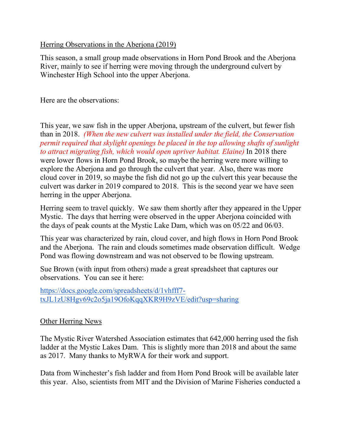## Herring Observations in the Aberjona (2019)

This season, a small group made observations in Horn Pond Brook and the Aberjona River, mainly to see if herring were moving through the underground culvert by Winchester High School into the upper Aberjona.

Here are the observations:

This year, we saw fish in the upper Aberjona, upstream of the culvert, but fewer fish than in 2018. *(When the new culvert was installed under the field, the Conservation permit required that skylight openings be placed in the top allowing shafts of sunlight to attract migrating fish, which would open upriver habitat. Elaine)* In 2018 there were lower flows in Horn Pond Brook, so maybe the herring were more willing to explore the Aberjona and go through the culvert that year. Also, there was more cloud cover in 2019, so maybe the fish did not go up the culvert this year because the culvert was darker in 2019 compared to 2018. This is the second year we have seen herring in the upper Aberjona.

Herring seem to travel quickly. We saw them shortly after they appeared in the Upper Mystic. The days that herring were observed in the upper Aberjona coincided with the days of peak counts at the Mystic Lake Dam, which was on 05/22 and 06/03.

This year was characterized by rain, cloud cover, and high flows in Horn Pond Brook and the Aberjona. The rain and clouds sometimes made observation difficult. Wedge Pond was flowing downstream and was not observed to be flowing upstream.

Sue Brown (with input from others) made a great spreadsheet that captures our observations. You can see it here:

[https://docs.google.com/spreadsheets/d/1vhfff7](https://docs.google.com/spreadsheets/d/1vhfff7-txJL1zU8Hgv69c2o5ja19OfoKqqXKR9H9zVE/edit?usp=sharing) [txJL1zU8Hgv69c2o5ja19OfoKqqXKR9H9zVE/edit?usp=sharing](https://docs.google.com/spreadsheets/d/1vhfff7-txJL1zU8Hgv69c2o5ja19OfoKqqXKR9H9zVE/edit?usp=sharing)

## Other Herring News

The Mystic River Watershed Association estimates that 642,000 herring used the fish ladder at the Mystic Lakes Dam. This is slightly more than 2018 and about the same as 2017. Many thanks to MyRWA for their work and support.

Data from Winchester's fish ladder and from Horn Pond Brook will be available later this year. Also, scientists from MIT and the Division of Marine Fisheries conducted a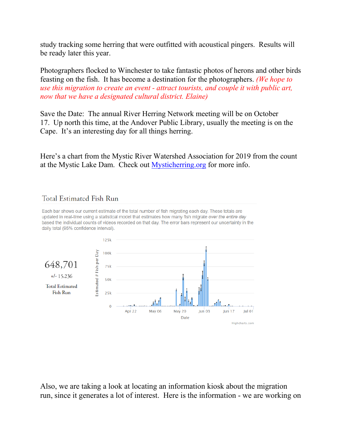study tracking some herring that were outfitted with acoustical pingers. Results will be ready later this year.

Photographers flocked to Winchester to take fantastic photos of herons and other birds feasting on the fish. It has become a destination for the photographers. *(We hope to use this migration to create an event - attract tourists, and couple it with public art, now that we have a designated cultural district. Elaine)*

Save the Date: The annual River Herring Network meeting will be on October 17. Up north this time, at the Andover Public Library, usually the meeting is on the Cape. It's an interesting day for all things herring.

Here's a chart from the Mystic River Watershed Association for 2019 from the count at the Mystic Lake Dam. Check out **Mysticherring.org** for more info.

## Total Estimated Fish Run

Each bar shows our current estimate of the total number of fish migrating each day. These totals are updated in real-time using a statistical model that estimates how many fish migrate over the entire day based the individual counts of videos recorded on that day. The error bars represent our uncertainty in the daily total (95% confidence interval).



Also, we are taking a look at locating an information kiosk about the migration run, since it generates a lot of interest. Here is the information - we are working on